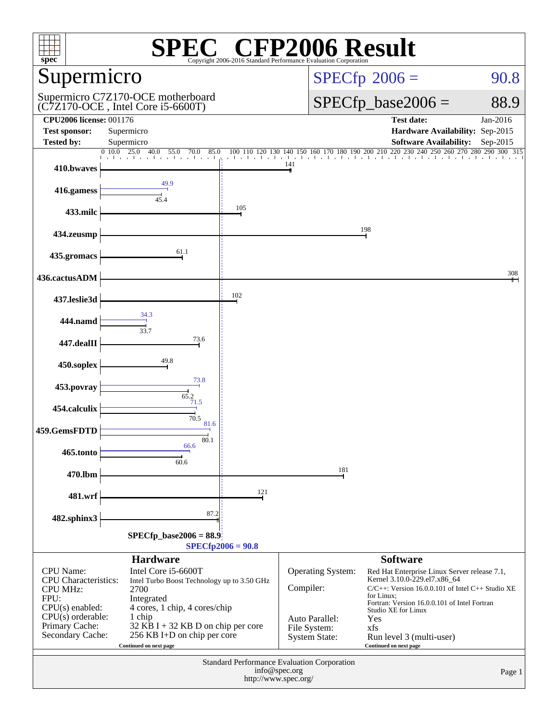| $\mathbb{C}^{\circledast}$ CFP2006 Result<br>$spec^*$<br>Copyright 2006-2016 Standard Performance Evaluation Cornoratio |                                                                                                                           |                       |                                                        |                                                                                                                                                                                                |                                         |  |  |
|-------------------------------------------------------------------------------------------------------------------------|---------------------------------------------------------------------------------------------------------------------------|-----------------------|--------------------------------------------------------|------------------------------------------------------------------------------------------------------------------------------------------------------------------------------------------------|-----------------------------------------|--|--|
| Supermicro                                                                                                              |                                                                                                                           |                       | $SPECfp^{\circ}2006 =$<br>90.8                         |                                                                                                                                                                                                |                                         |  |  |
| Supermicro C7Z170-OCE motherboard<br>(C7Z170-OCE, Intel Core i5-6600T)                                                  |                                                                                                                           |                       |                                                        | $SPECfp\_base2006 =$                                                                                                                                                                           | 88.9                                    |  |  |
| <b>CPU2006 license: 001176</b><br><b>Test sponsor:</b>                                                                  | Supermicro                                                                                                                |                       |                                                        | <b>Test date:</b><br>Hardware Availability: Sep-2015                                                                                                                                           | Jan-2016                                |  |  |
| Tested by:                                                                                                              | Supermicro<br>0.10.0<br>$\overline{25.0}$<br>40.0<br>55.0<br>85.0<br>70.0                                                 | 100 110<br>120<br>130 | 150 160 170 180 190 200 210<br>140                     | <b>Software Availability:</b><br>240<br>220<br>230                                                                                                                                             | Sep-2015<br>250 260 270 280 290 300 315 |  |  |
| 410.bwaves                                                                                                              |                                                                                                                           | the first contraction | 141                                                    |                                                                                                                                                                                                |                                         |  |  |
| 416.gamess                                                                                                              | 49.9<br>45.4                                                                                                              |                       |                                                        |                                                                                                                                                                                                |                                         |  |  |
| 433.milc                                                                                                                |                                                                                                                           | 105                   |                                                        |                                                                                                                                                                                                |                                         |  |  |
| 434.zeusmp                                                                                                              |                                                                                                                           |                       |                                                        | 198                                                                                                                                                                                            |                                         |  |  |
| 435.gromacs                                                                                                             | 61.1                                                                                                                      |                       |                                                        |                                                                                                                                                                                                |                                         |  |  |
| 436.cactusADM                                                                                                           |                                                                                                                           |                       |                                                        |                                                                                                                                                                                                | 308                                     |  |  |
| 437.leslie3d                                                                                                            |                                                                                                                           | 102                   |                                                        |                                                                                                                                                                                                |                                         |  |  |
| 444.namd                                                                                                                | 34.3<br>33.7                                                                                                              |                       |                                                        |                                                                                                                                                                                                |                                         |  |  |
| 447.dealII                                                                                                              | 73.6                                                                                                                      |                       |                                                        |                                                                                                                                                                                                |                                         |  |  |
| 450.soplex                                                                                                              | 49.8                                                                                                                      |                       |                                                        |                                                                                                                                                                                                |                                         |  |  |
| 453.povray                                                                                                              | 73.8                                                                                                                      |                       |                                                        |                                                                                                                                                                                                |                                         |  |  |
| 454.calculix                                                                                                            | $\overrightarrow{65.2}$<br>$\frac{71.5}{4}$<br>70.5                                                                       |                       |                                                        |                                                                                                                                                                                                |                                         |  |  |
| 459.GemsFDTD                                                                                                            | 81.6<br>80.1                                                                                                              |                       |                                                        |                                                                                                                                                                                                |                                         |  |  |
| 465.tonto                                                                                                               | 66.6<br>60.6                                                                                                              |                       |                                                        |                                                                                                                                                                                                |                                         |  |  |
| 470.lbm                                                                                                                 |                                                                                                                           |                       | 181                                                    |                                                                                                                                                                                                |                                         |  |  |
| 481.wrf                                                                                                                 |                                                                                                                           | 121                   |                                                        |                                                                                                                                                                                                |                                         |  |  |
| 482.sphinx3                                                                                                             | 87.2                                                                                                                      |                       |                                                        |                                                                                                                                                                                                |                                         |  |  |
| $SPECfp\_base2006 = 88.9$<br>$SPECfp2006 = 90.8$                                                                        |                                                                                                                           |                       |                                                        |                                                                                                                                                                                                |                                         |  |  |
|                                                                                                                         | <b>Hardware</b>                                                                                                           |                       |                                                        | <b>Software</b>                                                                                                                                                                                |                                         |  |  |
| CPU Name:<br><b>CPU</b> Characteristics:<br><b>CPU MHz:</b><br>FPU:<br>$CPU(s)$ enabled:                                | Intel Core i5-6600T<br>Intel Turbo Boost Technology up to 3.50 GHz<br>2700<br>Integrated<br>4 cores, 1 chip, 4 cores/chip |                       | Operating System:<br>Compiler:                         | Red Hat Enterprise Linux Server release 7.1,<br>Kernel 3.10.0-229.el7.x86_64<br>C/C++: Version 16.0.0.101 of Intel C++ Studio XE<br>for Linux;<br>Fortran: Version 16.0.0.101 of Intel Fortran |                                         |  |  |
| $CPU(s)$ orderable:<br>Primary Cache:<br>Secondary Cache:                                                               | 1 chip<br>$32$ KB I + 32 KB D on chip per core<br>256 KB I+D on chip per core<br>Continued on next page                   |                       | Auto Parallel:<br>File System:<br><b>System State:</b> | Studio XE for Linux<br>Yes<br>xfs<br>Run level 3 (multi-user)<br>Continued on next page                                                                                                        |                                         |  |  |
| Standard Performance Evaluation Corporation<br>info@spec.org<br>Page 1<br>http://www.spec.org/                          |                                                                                                                           |                       |                                                        |                                                                                                                                                                                                |                                         |  |  |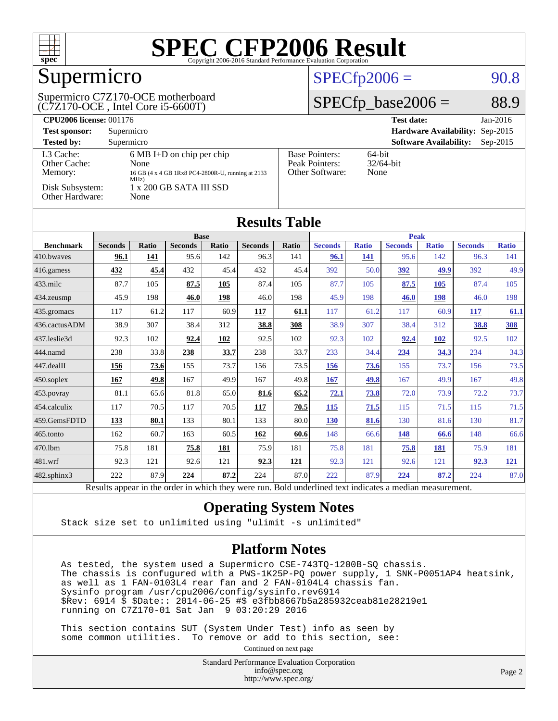

## Supermicro

#### (C7Z170-OCE , Intel Core i5-6600T) Supermicro C7Z170-OCE motherboard

#### $SPECTp2006 = 90.8$

#### $SPECfp\_base2006 = 88.9$

| <b>CPU2006 license: 001176</b>       |                                                                                                          |                                                            | <b>Test date:</b><br>$Jan-2016$             |
|--------------------------------------|----------------------------------------------------------------------------------------------------------|------------------------------------------------------------|---------------------------------------------|
| <b>Test sponsor:</b>                 | Supermicro                                                                                               |                                                            | Hardware Availability: Sep-2015             |
| <b>Tested by:</b>                    | Supermicro                                                                                               |                                                            | <b>Software Availability:</b><br>$Sep-2015$ |
| L3 Cache:<br>Other Cache:<br>Memory: | $6 \text{ MB I+D}$ on chip per chip<br>None<br>16 GB (4 x 4 GB 1Rx8 PC4-2800R-U, running at 2133<br>MHz) | <b>Base Pointers:</b><br>Peak Pointers:<br>Other Software: | $64$ -bit<br>$32/64$ -bit<br>None           |
| Disk Subsystem:<br>Other Hardware:   | 1 x 200 GB SATA III SSD<br>None                                                                          |                                                            |                                             |

| <b>Results Table</b> |                |              |                |       |                |              |                |              |                |              |                |              |
|----------------------|----------------|--------------|----------------|-------|----------------|--------------|----------------|--------------|----------------|--------------|----------------|--------------|
|                      | <b>Base</b>    |              |                |       |                | <b>Peak</b>  |                |              |                |              |                |              |
| <b>Benchmark</b>     | <b>Seconds</b> | <b>Ratio</b> | <b>Seconds</b> | Ratio | <b>Seconds</b> | <b>Ratio</b> | <b>Seconds</b> | <b>Ratio</b> | <b>Seconds</b> | <b>Ratio</b> | <b>Seconds</b> | <b>Ratio</b> |
| 410.bwayes           | 96.1           | 141          | 95.6           | 142   | 96.3           | 141          | 96.1           | 141          | 95.6           | 142          | 96.3           | 141          |
| 416.gamess           | 432            | 45.4         | 432            | 45.4  | 432            | 45.4         | 392            | 50.0         | <u>392</u>     | 49.9         | 392            | 49.9         |
| $433$ .milc          | 87.7           | 105          | 87.5           | 105   | 87.4           | 105          | 87.7           | 105          | 87.5           | 105          | 87.4           | 105          |
| $434$ . zeusmp       | 45.9           | 198          | 46.0           | 198   | 46.0           | 198          | 45.9           | 198          | 46.0           | 198          | 46.0           | 198          |
| 435.gromacs          | 117            | 61.2         | 117            | 60.9  | 117            | 61.1         | 117            | 61.2         | 117            | 60.9         | <u>117</u>     | 61.1         |
| 436.cactusADM        | 38.9           | 307          | 38.4           | 312   | 38.8           | 308          | 38.9           | 307          | 38.4           | 312          | 38.8           | <b>308</b>   |
| 437.leslie3d         | 92.3           | 102          | 92.4           | 102   | 92.5           | 102          | 92.3           | 102          | 92.4           | <b>102</b>   | 92.5           | 102          |
| 444.namd             | 238            | 33.8         | 238            | 33.7  | 238            | 33.7         | 233            | 34.4         | 234            | 34.3         | 234            | 34.3         |
| $447$ .dealII        | 156            | 73.6         | 155            | 73.7  | 156            | 73.5         | 156            | <b>73.6</b>  | 155            | 73.7         | 156            | 73.5         |
| $450$ .soplex        | 167            | 49.8         | 167            | 49.9  | 167            | 49.8         | 167            | 49.8         | 167            | 49.9         | 167            | 49.8         |
| 453.povray           | 81.1           | 65.6         | 81.8           | 65.0  | 81.6           | 65.2         | 72.1           | 73.8         | 72.0           | 73.9         | 72.2           | 73.7         |
| 454.calculix         | 117            | 70.5         | 117            | 70.5  | 117            | 70.5         | 115            | 71.5         | 115            | 71.5         | 115            | 71.5         |
| 459.GemsFDTD         | 133            | 80.1         | 133            | 80.1  | 133            | 80.0         | <b>130</b>     | 81.6         | 130            | 81.6         | 130            | 81.7         |
| $465$ .tonto         | 162            | 60.7         | 163            | 60.5  | 162            | 60.6         | 148            | 66.6         | 148            | 66.6         | 148            | 66.6         |
| 470.1bm              | 75.8           | 181          | 75.8           | 181   | 75.9           | 181          | 75.8           | 181          | 75.8           | 181          | 75.9           | 181          |
| 481.wrf              | 92.3           | 121          | 92.6           | 121   | 92.3           | 121          | 92.3           | 121          | 92.6           | 121          | 92.3           | <u>121</u>   |
| $482$ .sphinx $3$    | 222            | 87.9         | 224            | 87.2  | 224            | 87.0         | 222            | 87.9         | 224            | 87.2         | 224            | 87.0         |

Results appear in the [order in which they were run.](http://www.spec.org/auto/cpu2006/Docs/result-fields.html#RunOrder) Bold underlined text [indicates a median measurement.](http://www.spec.org/auto/cpu2006/Docs/result-fields.html#Median)

#### **[Operating System Notes](http://www.spec.org/auto/cpu2006/Docs/result-fields.html#OperatingSystemNotes)**

Stack size set to unlimited using "ulimit -s unlimited"

#### **[Platform Notes](http://www.spec.org/auto/cpu2006/Docs/result-fields.html#PlatformNotes)**

 As tested, the system used a Supermicro CSE-743TQ-1200B-SQ chassis. The chassis is confugured with a PWS-1K25P-PQ power supply, 1 SNK-P0051AP4 heatsink, as well as 1 FAN-0103L4 rear fan and 2 FAN-0104L4 chassis fan. Sysinfo program /usr/cpu2006/config/sysinfo.rev6914 \$Rev: 6914 \$ \$Date:: 2014-06-25 #\$ e3fbb8667b5a285932ceab81e28219e1 running on C7Z170-01 Sat Jan 9 03:20:29 2016

 This section contains SUT (System Under Test) info as seen by some common utilities. To remove or add to this section, see:

Continued on next page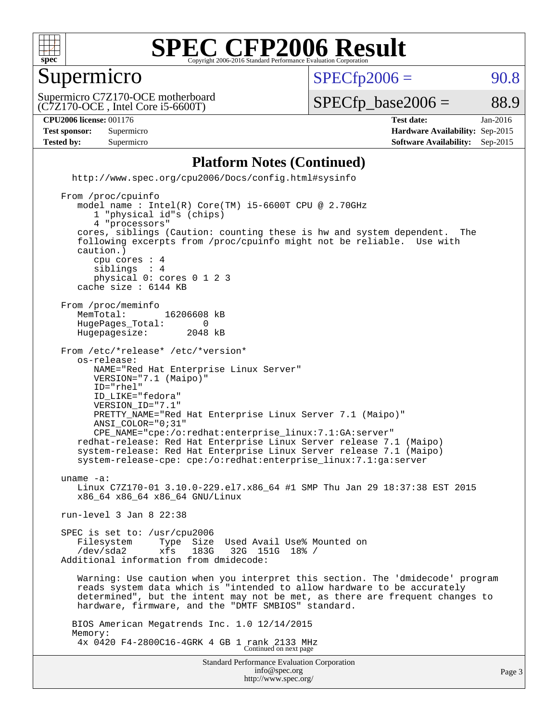

#### Supermicro

 $SPECTp2006 = 90.8$ 

(C7Z170-OCE , Intel Core i5-6600T) Supermicro C7Z170-OCE motherboard

 $SPECTp\_base2006 = 88.9$ 

**[CPU2006 license:](http://www.spec.org/auto/cpu2006/Docs/result-fields.html#CPU2006license)** 001176 **[Test date:](http://www.spec.org/auto/cpu2006/Docs/result-fields.html#Testdate)** Jan-2016 **[Test sponsor:](http://www.spec.org/auto/cpu2006/Docs/result-fields.html#Testsponsor)** Supermicro **[Hardware Availability:](http://www.spec.org/auto/cpu2006/Docs/result-fields.html#HardwareAvailability)** Sep-2015 **[Tested by:](http://www.spec.org/auto/cpu2006/Docs/result-fields.html#Testedby)** Supermicro **Supermicro [Software Availability:](http://www.spec.org/auto/cpu2006/Docs/result-fields.html#SoftwareAvailability)** Sep-2015

#### **[Platform Notes \(Continued\)](http://www.spec.org/auto/cpu2006/Docs/result-fields.html#PlatformNotes)**

 <http://www.spec.org/cpu2006/Docs/config.html#sysinfo> From /proc/cpuinfo model name : Intel(R) Core(TM) i5-6600T CPU @ 2.70GHz 1 "physical id"s (chips) 4 "processors" cores, siblings (Caution: counting these is hw and system dependent. The following excerpts from /proc/cpuinfo might not be reliable. Use with caution.) cpu cores : 4 siblings physical 0: cores 0 1 2 3 cache size : 6144 KB From /proc/meminfo MemTotal: 16206608 kB<br>HugePages Total: 0 HugePages\_Total: 0 Hugepagesize: 2048 kB From /etc/\*release\* /etc/\*version\* os-release: NAME="Red Hat Enterprise Linux Server" VERSION="7.1 (Maipo)" ID="rhel" ID\_LIKE="fedora" VERSION\_ID="7.1" PRETTY\_NAME="Red Hat Enterprise Linux Server 7.1 (Maipo)" ANSI\_COLOR="0;31" CPE\_NAME="cpe:/o:redhat:enterprise\_linux:7.1:GA:server" redhat-release: Red Hat Enterprise Linux Server release 7.1 (Maipo) system-release: Red Hat Enterprise Linux Server release 7.1 (Maipo) system-release-cpe: cpe:/o:redhat:enterprise\_linux:7.1:ga:server uname -a: Linux C7Z170-01 3.10.0-229.el7.x86\_64 #1 SMP Thu Jan 29 18:37:38 EST 2015

x86\_64 x86\_64 x86\_64 GNU/Linux

run-level 3 Jan 8 22:38

 SPEC is set to: /usr/cpu2006 Filesystem Type Size Used Avail Use% Mounted on<br>
/dev/sda2 xfs 183G 32G 151G 18% / /dev/sda2 xfs 183G 32G 151G 18% / Additional information from dmidecode:

 Warning: Use caution when you interpret this section. The 'dmidecode' program reads system data which is "intended to allow hardware to be accurately determined", but the intent may not be met, as there are frequent changes to hardware, firmware, and the "DMTF SMBIOS" standard.

 BIOS American Megatrends Inc. 1.0 12/14/2015 Memory: 4x 0420 F4-2800C16-4GRK 4 GB 1 rank 2133 MHz Continued on next page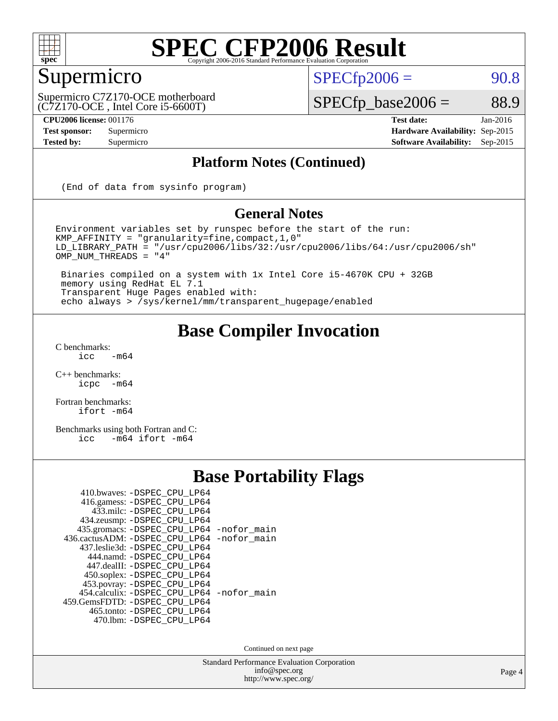

## Supermicro

 $SPECTp2006 = 90.8$ 

(C7Z170-OCE , Intel Core i5-6600T) Supermicro C7Z170-OCE motherboard

 $SPECfp\_base2006 = 88.9$ **[CPU2006 license:](http://www.spec.org/auto/cpu2006/Docs/result-fields.html#CPU2006license)** 001176 **[Test date:](http://www.spec.org/auto/cpu2006/Docs/result-fields.html#Testdate)** Jan-2016

**[Test sponsor:](http://www.spec.org/auto/cpu2006/Docs/result-fields.html#Testsponsor)** Supermicro **[Hardware Availability:](http://www.spec.org/auto/cpu2006/Docs/result-fields.html#HardwareAvailability)** Sep-2015 **[Tested by:](http://www.spec.org/auto/cpu2006/Docs/result-fields.html#Testedby)** Supermicro **Supermicro [Software Availability:](http://www.spec.org/auto/cpu2006/Docs/result-fields.html#SoftwareAvailability)** Sep-2015

#### **[Platform Notes \(Continued\)](http://www.spec.org/auto/cpu2006/Docs/result-fields.html#PlatformNotes)**

(End of data from sysinfo program)

#### **[General Notes](http://www.spec.org/auto/cpu2006/Docs/result-fields.html#GeneralNotes)**

Environment variables set by runspec before the start of the run: KMP\_AFFINITY = "granularity=fine,compact,1,0" LD\_LIBRARY\_PATH = "/usr/cpu2006/libs/32:/usr/cpu2006/libs/64:/usr/cpu2006/sh" OMP\_NUM\_THREADS = "4"

 Binaries compiled on a system with 1x Intel Core i5-4670K CPU + 32GB memory using RedHat EL 7.1 Transparent Huge Pages enabled with: echo always > /sys/kernel/mm/transparent\_hugepage/enabled

#### **[Base Compiler Invocation](http://www.spec.org/auto/cpu2006/Docs/result-fields.html#BaseCompilerInvocation)**

 $C$  benchmarks:<br>icc  $-m64$ 

[C++ benchmarks:](http://www.spec.org/auto/cpu2006/Docs/result-fields.html#CXXbenchmarks) [icpc -m64](http://www.spec.org/cpu2006/results/res2016q1/cpu2006-20160111-38638.flags.html#user_CXXbase_intel_icpc_64bit_bedb90c1146cab66620883ef4f41a67e)

[Fortran benchmarks](http://www.spec.org/auto/cpu2006/Docs/result-fields.html#Fortranbenchmarks): [ifort -m64](http://www.spec.org/cpu2006/results/res2016q1/cpu2006-20160111-38638.flags.html#user_FCbase_intel_ifort_64bit_ee9d0fb25645d0210d97eb0527dcc06e)

[Benchmarks using both Fortran and C](http://www.spec.org/auto/cpu2006/Docs/result-fields.html#BenchmarksusingbothFortranandC): [icc -m64](http://www.spec.org/cpu2006/results/res2016q1/cpu2006-20160111-38638.flags.html#user_CC_FCbase_intel_icc_64bit_0b7121f5ab7cfabee23d88897260401c) [ifort -m64](http://www.spec.org/cpu2006/results/res2016q1/cpu2006-20160111-38638.flags.html#user_CC_FCbase_intel_ifort_64bit_ee9d0fb25645d0210d97eb0527dcc06e)

## **[Base Portability Flags](http://www.spec.org/auto/cpu2006/Docs/result-fields.html#BasePortabilityFlags)**

| 410.bwaves: -DSPEC CPU LP64                 |  |
|---------------------------------------------|--|
| 416.gamess: -DSPEC_CPU_LP64                 |  |
| 433.milc: -DSPEC CPU LP64                   |  |
| 434.zeusmp: -DSPEC_CPU_LP64                 |  |
| 435.gromacs: -DSPEC_CPU_LP64 -nofor_main    |  |
| 436.cactusADM: -DSPEC_CPU_LP64 -nofor_main  |  |
| 437.leslie3d: -DSPEC_CPU LP64               |  |
| 444.namd: -DSPEC CPU LP64                   |  |
| 447.dealII: -DSPEC CPU LP64                 |  |
| 450.soplex: -DSPEC_CPU_LP64                 |  |
| 453.povray: -DSPEC_CPU_LP64                 |  |
| 454.calculix: - DSPEC CPU LP64 - nofor main |  |
| 459.GemsFDTD: - DSPEC CPU LP64              |  |
| 465.tonto: - DSPEC_CPU_LP64                 |  |
| 470.1bm: - DSPEC CPU LP64                   |  |

Continued on next page

Standard Performance Evaluation Corporation [info@spec.org](mailto:info@spec.org) <http://www.spec.org/>

Page 4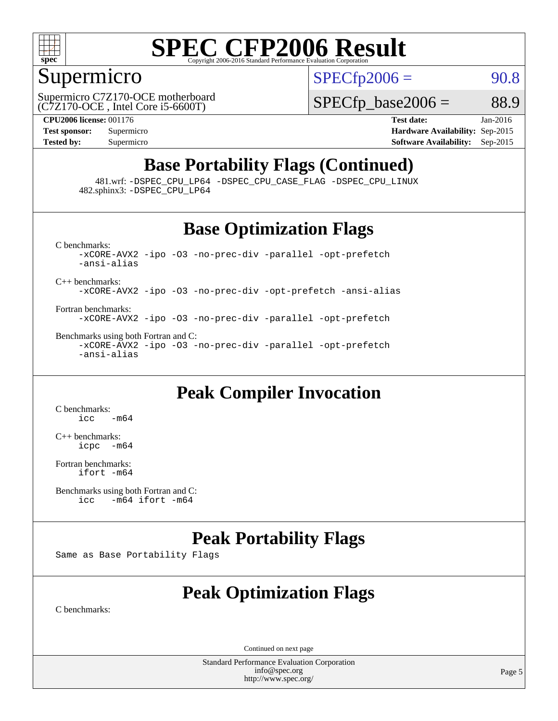

#### Supermicro

 $SPECTp2006 = 90.8$ 

(C7Z170-OCE , Intel Core i5-6600T) Supermicro C7Z170-OCE motherboard  $SPECTp\_base2006 = 88.9$ 

**[CPU2006 license:](http://www.spec.org/auto/cpu2006/Docs/result-fields.html#CPU2006license)** 001176 **[Test date:](http://www.spec.org/auto/cpu2006/Docs/result-fields.html#Testdate)** Jan-2016 **[Test sponsor:](http://www.spec.org/auto/cpu2006/Docs/result-fields.html#Testsponsor)** Supermicro **[Hardware Availability:](http://www.spec.org/auto/cpu2006/Docs/result-fields.html#HardwareAvailability)** Sep-2015 **[Tested by:](http://www.spec.org/auto/cpu2006/Docs/result-fields.html#Testedby)** Supermicro **[Software Availability:](http://www.spec.org/auto/cpu2006/Docs/result-fields.html#SoftwareAvailability)** Sep-2015

## **[Base Portability Flags \(Continued\)](http://www.spec.org/auto/cpu2006/Docs/result-fields.html#BasePortabilityFlags)**

 481.wrf: [-DSPEC\\_CPU\\_LP64](http://www.spec.org/cpu2006/results/res2016q1/cpu2006-20160111-38638.flags.html#suite_basePORTABILITY481_wrf_DSPEC_CPU_LP64) [-DSPEC\\_CPU\\_CASE\\_FLAG](http://www.spec.org/cpu2006/results/res2016q1/cpu2006-20160111-38638.flags.html#b481.wrf_baseCPORTABILITY_DSPEC_CPU_CASE_FLAG) [-DSPEC\\_CPU\\_LINUX](http://www.spec.org/cpu2006/results/res2016q1/cpu2006-20160111-38638.flags.html#b481.wrf_baseCPORTABILITY_DSPEC_CPU_LINUX) 482.sphinx3: [-DSPEC\\_CPU\\_LP64](http://www.spec.org/cpu2006/results/res2016q1/cpu2006-20160111-38638.flags.html#suite_basePORTABILITY482_sphinx3_DSPEC_CPU_LP64)

#### **[Base Optimization Flags](http://www.spec.org/auto/cpu2006/Docs/result-fields.html#BaseOptimizationFlags)**

[C benchmarks](http://www.spec.org/auto/cpu2006/Docs/result-fields.html#Cbenchmarks): [-xCORE-AVX2](http://www.spec.org/cpu2006/results/res2016q1/cpu2006-20160111-38638.flags.html#user_CCbase_f-xAVX2_5f5fc0cbe2c9f62c816d3e45806c70d7) [-ipo](http://www.spec.org/cpu2006/results/res2016q1/cpu2006-20160111-38638.flags.html#user_CCbase_f-ipo) [-O3](http://www.spec.org/cpu2006/results/res2016q1/cpu2006-20160111-38638.flags.html#user_CCbase_f-O3) [-no-prec-div](http://www.spec.org/cpu2006/results/res2016q1/cpu2006-20160111-38638.flags.html#user_CCbase_f-no-prec-div) [-parallel](http://www.spec.org/cpu2006/results/res2016q1/cpu2006-20160111-38638.flags.html#user_CCbase_f-parallel) [-opt-prefetch](http://www.spec.org/cpu2006/results/res2016q1/cpu2006-20160111-38638.flags.html#user_CCbase_f-opt-prefetch) [-ansi-alias](http://www.spec.org/cpu2006/results/res2016q1/cpu2006-20160111-38638.flags.html#user_CCbase_f-ansi-alias) [C++ benchmarks:](http://www.spec.org/auto/cpu2006/Docs/result-fields.html#CXXbenchmarks) [-xCORE-AVX2](http://www.spec.org/cpu2006/results/res2016q1/cpu2006-20160111-38638.flags.html#user_CXXbase_f-xAVX2_5f5fc0cbe2c9f62c816d3e45806c70d7) [-ipo](http://www.spec.org/cpu2006/results/res2016q1/cpu2006-20160111-38638.flags.html#user_CXXbase_f-ipo) [-O3](http://www.spec.org/cpu2006/results/res2016q1/cpu2006-20160111-38638.flags.html#user_CXXbase_f-O3) [-no-prec-div](http://www.spec.org/cpu2006/results/res2016q1/cpu2006-20160111-38638.flags.html#user_CXXbase_f-no-prec-div) [-opt-prefetch](http://www.spec.org/cpu2006/results/res2016q1/cpu2006-20160111-38638.flags.html#user_CXXbase_f-opt-prefetch) [-ansi-alias](http://www.spec.org/cpu2006/results/res2016q1/cpu2006-20160111-38638.flags.html#user_CXXbase_f-ansi-alias) [Fortran benchmarks](http://www.spec.org/auto/cpu2006/Docs/result-fields.html#Fortranbenchmarks):

[-xCORE-AVX2](http://www.spec.org/cpu2006/results/res2016q1/cpu2006-20160111-38638.flags.html#user_FCbase_f-xAVX2_5f5fc0cbe2c9f62c816d3e45806c70d7) [-ipo](http://www.spec.org/cpu2006/results/res2016q1/cpu2006-20160111-38638.flags.html#user_FCbase_f-ipo) [-O3](http://www.spec.org/cpu2006/results/res2016q1/cpu2006-20160111-38638.flags.html#user_FCbase_f-O3) [-no-prec-div](http://www.spec.org/cpu2006/results/res2016q1/cpu2006-20160111-38638.flags.html#user_FCbase_f-no-prec-div) [-parallel](http://www.spec.org/cpu2006/results/res2016q1/cpu2006-20160111-38638.flags.html#user_FCbase_f-parallel) [-opt-prefetch](http://www.spec.org/cpu2006/results/res2016q1/cpu2006-20160111-38638.flags.html#user_FCbase_f-opt-prefetch)

[Benchmarks using both Fortran and C](http://www.spec.org/auto/cpu2006/Docs/result-fields.html#BenchmarksusingbothFortranandC): [-xCORE-AVX2](http://www.spec.org/cpu2006/results/res2016q1/cpu2006-20160111-38638.flags.html#user_CC_FCbase_f-xAVX2_5f5fc0cbe2c9f62c816d3e45806c70d7) [-ipo](http://www.spec.org/cpu2006/results/res2016q1/cpu2006-20160111-38638.flags.html#user_CC_FCbase_f-ipo) [-O3](http://www.spec.org/cpu2006/results/res2016q1/cpu2006-20160111-38638.flags.html#user_CC_FCbase_f-O3) [-no-prec-div](http://www.spec.org/cpu2006/results/res2016q1/cpu2006-20160111-38638.flags.html#user_CC_FCbase_f-no-prec-div) [-parallel](http://www.spec.org/cpu2006/results/res2016q1/cpu2006-20160111-38638.flags.html#user_CC_FCbase_f-parallel) [-opt-prefetch](http://www.spec.org/cpu2006/results/res2016q1/cpu2006-20160111-38638.flags.html#user_CC_FCbase_f-opt-prefetch) [-ansi-alias](http://www.spec.org/cpu2006/results/res2016q1/cpu2006-20160111-38638.flags.html#user_CC_FCbase_f-ansi-alias)

#### **[Peak Compiler Invocation](http://www.spec.org/auto/cpu2006/Docs/result-fields.html#PeakCompilerInvocation)**

[C benchmarks](http://www.spec.org/auto/cpu2006/Docs/result-fields.html#Cbenchmarks):  $\text{icc}$   $-\text{m64}$ 

[C++ benchmarks:](http://www.spec.org/auto/cpu2006/Docs/result-fields.html#CXXbenchmarks) [icpc -m64](http://www.spec.org/cpu2006/results/res2016q1/cpu2006-20160111-38638.flags.html#user_CXXpeak_intel_icpc_64bit_bedb90c1146cab66620883ef4f41a67e)

[Fortran benchmarks](http://www.spec.org/auto/cpu2006/Docs/result-fields.html#Fortranbenchmarks): [ifort -m64](http://www.spec.org/cpu2006/results/res2016q1/cpu2006-20160111-38638.flags.html#user_FCpeak_intel_ifort_64bit_ee9d0fb25645d0210d97eb0527dcc06e)

[Benchmarks using both Fortran and C](http://www.spec.org/auto/cpu2006/Docs/result-fields.html#BenchmarksusingbothFortranandC):<br>icc -m64 if ort -m64  $-m64$  ifort  $-m64$ 

#### **[Peak Portability Flags](http://www.spec.org/auto/cpu2006/Docs/result-fields.html#PeakPortabilityFlags)**

Same as Base Portability Flags

## **[Peak Optimization Flags](http://www.spec.org/auto/cpu2006/Docs/result-fields.html#PeakOptimizationFlags)**

[C benchmarks](http://www.spec.org/auto/cpu2006/Docs/result-fields.html#Cbenchmarks):

Continued on next page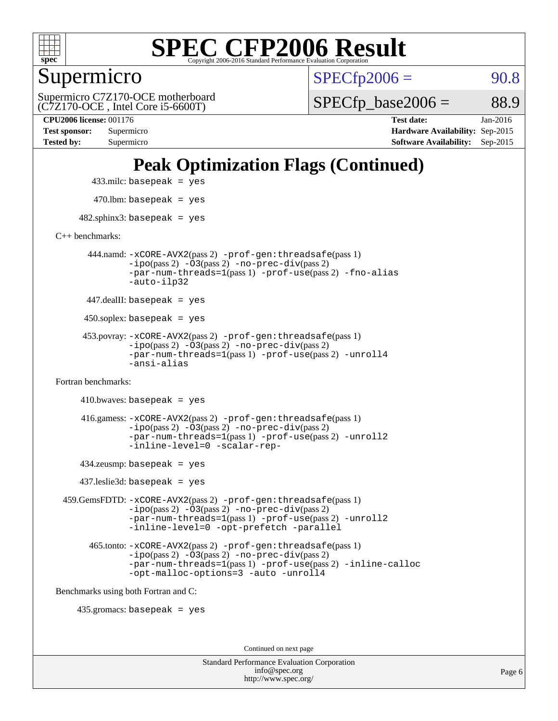

Supermicro

 $SPECTp2006 = 90.8$ 

(C7Z170-OCE , Intel Core i5-6600T) Supermicro C7Z170-OCE motherboard  $SPECTp\_base2006 = 88.9$ 

**[Tested by:](http://www.spec.org/auto/cpu2006/Docs/result-fields.html#Testedby)** Supermicro **[Software Availability:](http://www.spec.org/auto/cpu2006/Docs/result-fields.html#SoftwareAvailability)** Sep-2015

**[CPU2006 license:](http://www.spec.org/auto/cpu2006/Docs/result-fields.html#CPU2006license)** 001176 **[Test date:](http://www.spec.org/auto/cpu2006/Docs/result-fields.html#Testdate)** Jan-2016 **[Test sponsor:](http://www.spec.org/auto/cpu2006/Docs/result-fields.html#Testsponsor)** Supermicro **[Hardware Availability:](http://www.spec.org/auto/cpu2006/Docs/result-fields.html#HardwareAvailability)** Sep-2015

## **[Peak Optimization Flags \(Continued\)](http://www.spec.org/auto/cpu2006/Docs/result-fields.html#PeakOptimizationFlags)**

433.milc: basepeak = yes

 $470.$ lbm: basepeak = yes

 $482$ .sphinx3: basepeak = yes

[C++ benchmarks:](http://www.spec.org/auto/cpu2006/Docs/result-fields.html#CXXbenchmarks)

 444.namd: [-xCORE-AVX2](http://www.spec.org/cpu2006/results/res2016q1/cpu2006-20160111-38638.flags.html#user_peakPASS2_CXXFLAGSPASS2_LDFLAGS444_namd_f-xAVX2_5f5fc0cbe2c9f62c816d3e45806c70d7)(pass 2) [-prof-gen:threadsafe](http://www.spec.org/cpu2006/results/res2016q1/cpu2006-20160111-38638.flags.html#user_peakPASS1_CXXFLAGSPASS1_LDFLAGS444_namd_prof_gen_21a26eb79f378b550acd7bec9fe4467a)(pass 1) [-ipo](http://www.spec.org/cpu2006/results/res2016q1/cpu2006-20160111-38638.flags.html#user_peakPASS2_CXXFLAGSPASS2_LDFLAGS444_namd_f-ipo)(pass 2) [-O3](http://www.spec.org/cpu2006/results/res2016q1/cpu2006-20160111-38638.flags.html#user_peakPASS2_CXXFLAGSPASS2_LDFLAGS444_namd_f-O3)(pass 2) [-no-prec-div](http://www.spec.org/cpu2006/results/res2016q1/cpu2006-20160111-38638.flags.html#user_peakPASS2_CXXFLAGSPASS2_LDFLAGS444_namd_f-no-prec-div)(pass 2) [-par-num-threads=1](http://www.spec.org/cpu2006/results/res2016q1/cpu2006-20160111-38638.flags.html#user_peakPASS1_CXXFLAGSPASS1_LDFLAGS444_namd_par_num_threads_786a6ff141b4e9e90432e998842df6c2)(pass 1) [-prof-use](http://www.spec.org/cpu2006/results/res2016q1/cpu2006-20160111-38638.flags.html#user_peakPASS2_CXXFLAGSPASS2_LDFLAGS444_namd_prof_use_bccf7792157ff70d64e32fe3e1250b55)(pass 2) [-fno-alias](http://www.spec.org/cpu2006/results/res2016q1/cpu2006-20160111-38638.flags.html#user_peakCXXOPTIMIZEOPTIMIZE444_namd_f-no-alias_694e77f6c5a51e658e82ccff53a9e63a) [-auto-ilp32](http://www.spec.org/cpu2006/results/res2016q1/cpu2006-20160111-38638.flags.html#user_peakCXXOPTIMIZE444_namd_f-auto-ilp32)

447.dealII: basepeak = yes

 $450$ .soplex: basepeak = yes

 453.povray: [-xCORE-AVX2](http://www.spec.org/cpu2006/results/res2016q1/cpu2006-20160111-38638.flags.html#user_peakPASS2_CXXFLAGSPASS2_LDFLAGS453_povray_f-xAVX2_5f5fc0cbe2c9f62c816d3e45806c70d7)(pass 2) [-prof-gen:threadsafe](http://www.spec.org/cpu2006/results/res2016q1/cpu2006-20160111-38638.flags.html#user_peakPASS1_CXXFLAGSPASS1_LDFLAGS453_povray_prof_gen_21a26eb79f378b550acd7bec9fe4467a)(pass 1)  $-ipo(pass 2) -\overline{O3(pass 2)}$  $-ipo(pass 2) -\overline{O3(pass 2)}$  [-no-prec-div](http://www.spec.org/cpu2006/results/res2016q1/cpu2006-20160111-38638.flags.html#user_peakPASS2_CXXFLAGSPASS2_LDFLAGS453_povray_f-no-prec-div)(pass 2) [-par-num-threads=1](http://www.spec.org/cpu2006/results/res2016q1/cpu2006-20160111-38638.flags.html#user_peakPASS1_CXXFLAGSPASS1_LDFLAGS453_povray_par_num_threads_786a6ff141b4e9e90432e998842df6c2)(pass 1) [-prof-use](http://www.spec.org/cpu2006/results/res2016q1/cpu2006-20160111-38638.flags.html#user_peakPASS2_CXXFLAGSPASS2_LDFLAGS453_povray_prof_use_bccf7792157ff70d64e32fe3e1250b55)(pass 2) [-unroll4](http://www.spec.org/cpu2006/results/res2016q1/cpu2006-20160111-38638.flags.html#user_peakCXXOPTIMIZE453_povray_f-unroll_4e5e4ed65b7fd20bdcd365bec371b81f) [-ansi-alias](http://www.spec.org/cpu2006/results/res2016q1/cpu2006-20160111-38638.flags.html#user_peakCXXOPTIMIZE453_povray_f-ansi-alias)

[Fortran benchmarks](http://www.spec.org/auto/cpu2006/Docs/result-fields.html#Fortranbenchmarks):

```
410.bwaves: basepeak = yes 416.gamess: -xCORE-AVX2(pass 2) -prof-gen:threadsafe(pass 1)
          -i\text{po}(pass 2) -\tilde{O}3(pass 2)-no-prec-div(pass 2)
          -par-num-threads=1(pass 1) -prof-use(pass 2) -unroll2
          -inline-level=0 -scalar-rep-
```
434.zeusmp: basepeak = yes

437.leslie3d: basepeak = yes

 459.GemsFDTD: [-xCORE-AVX2](http://www.spec.org/cpu2006/results/res2016q1/cpu2006-20160111-38638.flags.html#user_peakPASS2_FFLAGSPASS2_LDFLAGS459_GemsFDTD_f-xAVX2_5f5fc0cbe2c9f62c816d3e45806c70d7)(pass 2) [-prof-gen:threadsafe](http://www.spec.org/cpu2006/results/res2016q1/cpu2006-20160111-38638.flags.html#user_peakPASS1_FFLAGSPASS1_LDFLAGS459_GemsFDTD_prof_gen_21a26eb79f378b550acd7bec9fe4467a)(pass 1) [-ipo](http://www.spec.org/cpu2006/results/res2016q1/cpu2006-20160111-38638.flags.html#user_peakPASS2_FFLAGSPASS2_LDFLAGS459_GemsFDTD_f-ipo)(pass 2) [-O3](http://www.spec.org/cpu2006/results/res2016q1/cpu2006-20160111-38638.flags.html#user_peakPASS2_FFLAGSPASS2_LDFLAGS459_GemsFDTD_f-O3)(pass 2) [-no-prec-div](http://www.spec.org/cpu2006/results/res2016q1/cpu2006-20160111-38638.flags.html#user_peakPASS2_FFLAGSPASS2_LDFLAGS459_GemsFDTD_f-no-prec-div)(pass 2) [-par-num-threads=1](http://www.spec.org/cpu2006/results/res2016q1/cpu2006-20160111-38638.flags.html#user_peakPASS1_FFLAGSPASS1_LDFLAGS459_GemsFDTD_par_num_threads_786a6ff141b4e9e90432e998842df6c2)(pass 1) [-prof-use](http://www.spec.org/cpu2006/results/res2016q1/cpu2006-20160111-38638.flags.html#user_peakPASS2_FFLAGSPASS2_LDFLAGS459_GemsFDTD_prof_use_bccf7792157ff70d64e32fe3e1250b55)(pass 2) [-unroll2](http://www.spec.org/cpu2006/results/res2016q1/cpu2006-20160111-38638.flags.html#user_peakOPTIMIZE459_GemsFDTD_f-unroll_784dae83bebfb236979b41d2422d7ec2) [-inline-level=0](http://www.spec.org/cpu2006/results/res2016q1/cpu2006-20160111-38638.flags.html#user_peakOPTIMIZE459_GemsFDTD_f-inline-level_318d07a09274ad25e8d15dbfaa68ba50) [-opt-prefetch](http://www.spec.org/cpu2006/results/res2016q1/cpu2006-20160111-38638.flags.html#user_peakOPTIMIZE459_GemsFDTD_f-opt-prefetch) [-parallel](http://www.spec.org/cpu2006/results/res2016q1/cpu2006-20160111-38638.flags.html#user_peakOPTIMIZE459_GemsFDTD_f-parallel)

 465.tonto: [-xCORE-AVX2](http://www.spec.org/cpu2006/results/res2016q1/cpu2006-20160111-38638.flags.html#user_peakPASS2_FFLAGSPASS2_LDFLAGS465_tonto_f-xAVX2_5f5fc0cbe2c9f62c816d3e45806c70d7)(pass 2) [-prof-gen:threadsafe](http://www.spec.org/cpu2006/results/res2016q1/cpu2006-20160111-38638.flags.html#user_peakPASS1_FFLAGSPASS1_LDFLAGS465_tonto_prof_gen_21a26eb79f378b550acd7bec9fe4467a)(pass 1)  $-i\text{po}(pass 2) -\overline{0}3(pass 2) -no-prec-div(pass 2)$  $-i\text{po}(pass 2) -\overline{0}3(pass 2) -no-prec-div(pass 2)$  $-i\text{po}(pass 2) -\overline{0}3(pass 2) -no-prec-div(pass 2)$ [-par-num-threads=1](http://www.spec.org/cpu2006/results/res2016q1/cpu2006-20160111-38638.flags.html#user_peakPASS1_FFLAGSPASS1_LDFLAGS465_tonto_par_num_threads_786a6ff141b4e9e90432e998842df6c2)(pass 1) [-prof-use](http://www.spec.org/cpu2006/results/res2016q1/cpu2006-20160111-38638.flags.html#user_peakPASS2_FFLAGSPASS2_LDFLAGS465_tonto_prof_use_bccf7792157ff70d64e32fe3e1250b55)(pass 2) [-inline-calloc](http://www.spec.org/cpu2006/results/res2016q1/cpu2006-20160111-38638.flags.html#user_peakOPTIMIZE465_tonto_f-inline-calloc) [-opt-malloc-options=3](http://www.spec.org/cpu2006/results/res2016q1/cpu2006-20160111-38638.flags.html#user_peakOPTIMIZE465_tonto_f-opt-malloc-options_13ab9b803cf986b4ee62f0a5998c2238) [-auto](http://www.spec.org/cpu2006/results/res2016q1/cpu2006-20160111-38638.flags.html#user_peakOPTIMIZE465_tonto_f-auto) [-unroll4](http://www.spec.org/cpu2006/results/res2016q1/cpu2006-20160111-38638.flags.html#user_peakOPTIMIZE465_tonto_f-unroll_4e5e4ed65b7fd20bdcd365bec371b81f)

[Benchmarks using both Fortran and C](http://www.spec.org/auto/cpu2006/Docs/result-fields.html#BenchmarksusingbothFortranandC):

435.gromacs: basepeak = yes

Continued on next page